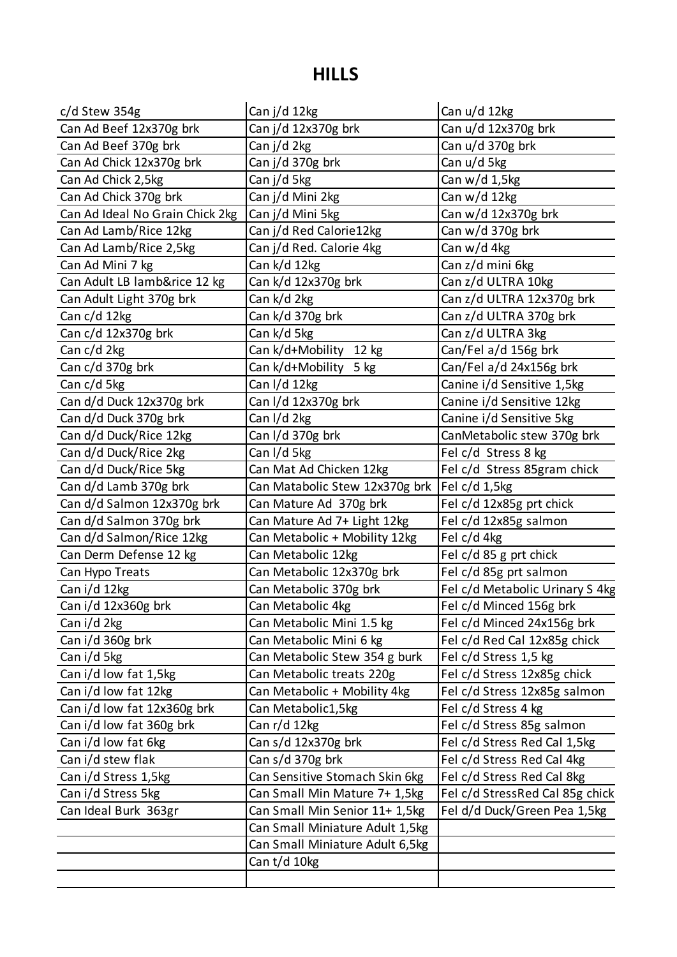## **HILLS**

| c/d Stew 354g                   | Can j/d 12kg                    | Can u/d 12kg                    |
|---------------------------------|---------------------------------|---------------------------------|
| Can Ad Beef 12x370g brk         | Can j/d 12x370g brk             | Can u/d 12x370g brk             |
| Can Ad Beef 370g brk            | Can j/d 2kg                     | Can u/d 370g brk                |
| Can Ad Chick 12x370g brk        | Can j/d 370g brk                | Can u/d 5kg                     |
| Can Ad Chick 2,5kg              | Can j/d 5kg                     | Can w/d 1,5kg                   |
| Can Ad Chick 370g brk           | Can j/d Mini 2kg                | Can w/d 12kg                    |
| Can Ad Ideal No Grain Chick 2kg | Can j/d Mini 5kg                | Can w/d 12x370g brk             |
| Can Ad Lamb/Rice 12kg           | Can j/d Red Calorie12kg         | Can w/d 370g brk                |
| Can Ad Lamb/Rice 2,5kg          | Can j/d Red. Calorie 4kg        | Can w/d 4kg                     |
| Can Ad Mini 7 kg                | Can k/d 12kg                    | Can z/d mini 6kg                |
| Can Adult LB lamb&rice 12 kg    | Can k/d 12x370g brk             | Can z/d ULTRA 10kg              |
| Can Adult Light 370g brk        | Can k/d 2kg                     | Can z/d ULTRA 12x370g brk       |
| Can c/d 12kg                    | Can k/d 370g brk                | Can z/d ULTRA 370g brk          |
| Can c/d 12x370g brk             | Can k/d 5kg                     | Can z/d ULTRA 3kg               |
| Can c/d 2kg                     | Can k/d+Mobility 12 kg          | Can/Fel a/d 156g brk            |
| Can c/d 370g brk                | Can k/d+Mobility<br>$5$ kg      | Can/Fel a/d 24x156g brk         |
| Can c/d 5kg                     | Can I/d 12kg                    | Canine i/d Sensitive 1,5kg      |
| Can d/d Duck 12x370g brk        | Can I/d 12x370g brk             | Canine i/d Sensitive 12kg       |
| Can d/d Duck 370g brk           | Can I/d 2kg                     | Canine i/d Sensitive 5kg        |
| Can d/d Duck/Rice 12kg          | Can I/d 370g brk                | CanMetabolic stew 370g brk      |
| Can d/d Duck/Rice 2kg           | Can I/d 5kg                     | Fel c/d Stress 8 kg             |
| Can d/d Duck/Rice 5kg           | Can Mat Ad Chicken 12kg         | Fel c/d Stress 85gram chick     |
| Can d/d Lamb 370g brk           | Can Matabolic Stew 12x370g brk  | Fel $c/d$ 1,5 $kg$              |
| Can d/d Salmon 12x370g brk      | Can Mature Ad 370g brk          | Fel c/d 12x85g prt chick        |
| Can d/d Salmon 370g brk         | Can Mature Ad 7+ Light 12kg     | Fel c/d 12x85g salmon           |
| Can d/d Salmon/Rice 12kg        | Can Metabolic + Mobility 12kg   | Fel c/d 4kg                     |
| Can Derm Defense 12 kg          | Can Metabolic 12kg              | Fel c/d 85 g prt chick          |
| Can Hypo Treats                 | Can Metabolic 12x370g brk       | Fel c/d 85g prt salmon          |
| Can i/d 12kg                    | Can Metabolic 370g brk          | Fel c/d Metabolic Urinary S 4kg |
| Can i/d 12x360g brk             | Can Metabolic 4kg               | Fel c/d Minced 156g brk         |
| Can i/d 2kg                     | Can Metabolic Mini 1.5 kg       | Fel c/d Minced 24x156g brk      |
| Can i/d 360g brk                | Can Metabolic Mini 6 kg         | Fel c/d Red Cal 12x85g chick    |
| Can i/d 5kg                     | Can Metabolic Stew 354 g burk   | Fel c/d Stress 1,5 kg           |
| Can i/d low fat 1,5kg           | Can Metabolic treats 220g       | Fel c/d Stress 12x85g chick     |
| Can i/d low fat 12kg            | Can Metabolic + Mobility 4kg    | Fel c/d Stress 12x85g salmon    |
| Can i/d low fat 12x360g brk     | Can Metabolic1,5kg              | Fel c/d Stress 4 kg             |
| Can i/d low fat 360g brk        | Can r/d 12kg                    | Fel c/d Stress 85g salmon       |
| Can i/d low fat 6kg             | Can s/d 12x370g brk             | Fel c/d Stress Red Cal 1,5kg    |
| Can i/d stew flak               | Can s/d 370g brk                | Fel c/d Stress Red Cal 4kg      |
| Can i/d Stress 1,5kg            | Can Sensitive Stomach Skin 6kg  | Fel c/d Stress Red Cal 8kg      |
| Can i/d Stress 5kg              | Can Small Min Mature 7+ 1,5kg   | Fel c/d StressRed Cal 85g chick |
| Can Ideal Burk 363gr            | Can Small Min Senior 11+ 1,5kg  | Fel d/d Duck/Green Pea 1,5kg    |
|                                 | Can Small Miniature Adult 1,5kg |                                 |
|                                 | Can Small Miniature Adult 6,5kg |                                 |
|                                 | Can t/d 10kg                    |                                 |
|                                 |                                 |                                 |